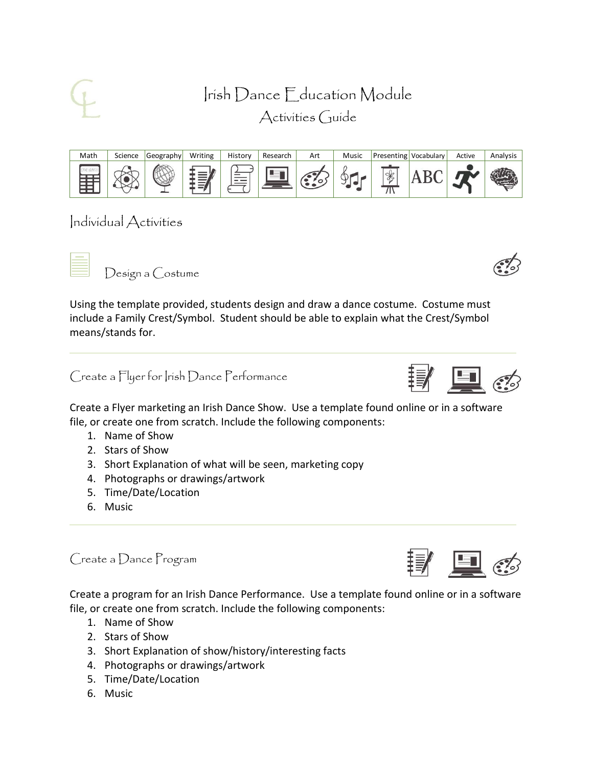Irish Dance Education Module Activities Guide



Individual Activities

Design a Costume

Using the template provided, students design and draw a dance costume. Costume must include a Family Crest/Symbol. Student should be able to explain what the Crest/Symbol means/stands for.

Create a Flyer for Irish Dance Performance

Create a Flyer marketing an Irish Dance Show. Use a template found online or in a software file, or create one from scratch. Include the following components:

- 1. Name of Show
- 2. Stars of Show
- 3. Short Explanation of what will be seen, marketing copy
- 4. Photographs or drawings/artwork
- 5. Time/Date/Location
- 6. Music

Create a Dance Program

Create a program for an Irish Dance Performance. Use a template found online or in a software file, or create one from scratch. Include the following components:

- 1. Name of Show
- 2. Stars of Show
- 3. Short Explanation of show/history/interesting facts
- 4. Photographs or drawings/artwork
- 5. Time/Date/Location
- 6. Music





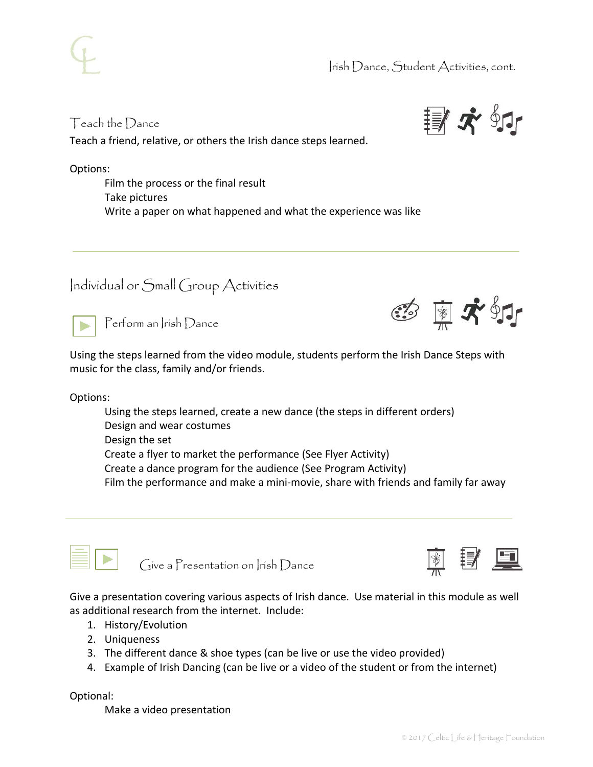

## Teach the Dance

Teach a friend, relative, or others the Irish dance steps learned.

Options:

Film the process or the final result Take pictures Write a paper on what happened and what the experience was like

## Individual or Small Group Activities



Perform an Irish Dance

Using the steps learned from the video module, students perform the Irish Dance Steps with music for the class, family and/or friends.

Options:

Using the steps learned, create a new dance (the steps in different orders) Design and wear costumes Design the set Create a flyer to market the performance (See Flyer Activity) Create a dance program for the audience (See Program Activity) Film the performance and make a mini-movie, share with friends and family far away



Give a Presentation on Irish Dance



Give a presentation covering various aspects of Irish dance. Use material in this module as well as additional research from the internet. Include:

- 1. History/Evolution
- 2. Uniqueness
- 3. The different dance & shoe types (can be live or use the video provided)
- 4. Example of Irish Dancing (can be live or a video of the student or from the internet)

Optional:

Make a video presentation



團本虾